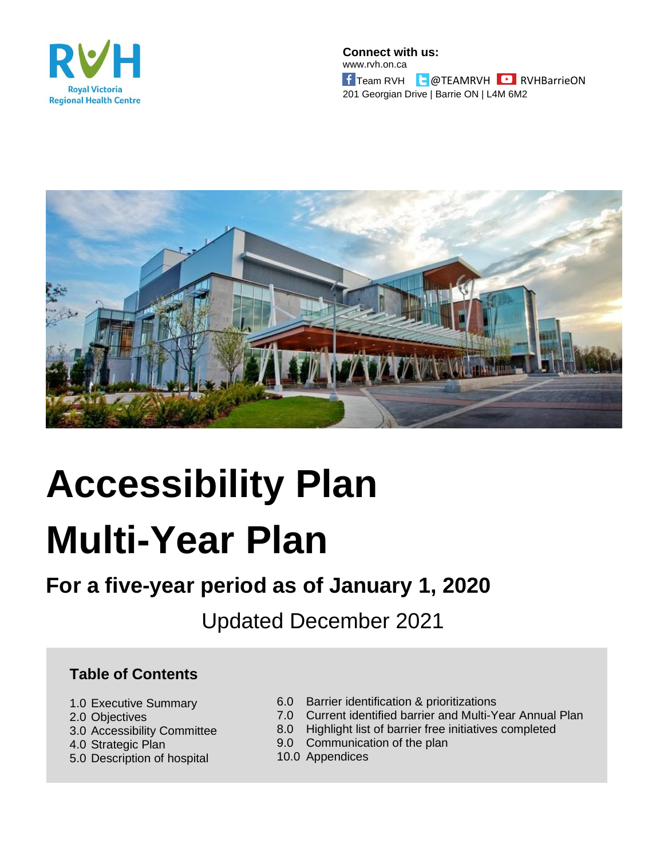

**Connect with us:** www.rvh.on.ca **f** Team RVH **a** @TEAMRVH **B** RVHBarrieON 201 Georgian Drive | Barrie ON | L4M 6M2



# **Accessibility Plan Multi-Year Plan**

# **For a five-year period as of January 1, 2020**

Updated December 2021

#### **Table of Contents**

- 1.0 Executive Summary
- 2.0 Objectives
- 3.0 Accessibility Committee
- 4.0 Strategic Plan
- 5.0 Description of hospital
- 6.0 Barrier identification & prioritizations
- 7.0 Current identified barrier and Multi-Year Annual Plan
- 8.0 Highlight list of barrier free initiatives completed
- 9.0 Communication of the plan
- 10.0 Appendices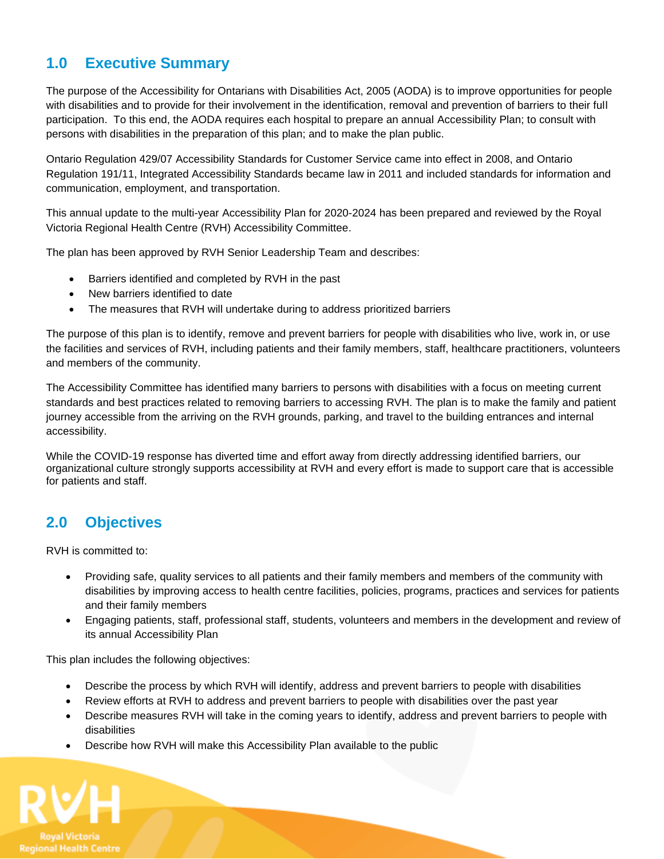#### **1.0 Executive Summary**

The purpose of the Accessibility for Ontarians with Disabilities Act, 2005 (AODA) is to improve opportunities for people with disabilities and to provide for their involvement in the identification, removal and prevention of barriers to their full participation. To this end, the AODA requires each hospital to prepare an annual Accessibility Plan; to consult with persons with disabilities in the preparation of this plan; and to make the plan public.

Ontario Regulation 429/07 Accessibility Standards for Customer Service came into effect in 2008, and Ontario Regulation 191/11, Integrated Accessibility Standards became law in 2011 and included standards for information and communication, employment, and transportation.

This annual update to the multi-year Accessibility Plan for 2020-2024 has been prepared and reviewed by the Royal Victoria Regional Health Centre (RVH) Accessibility Committee.

The plan has been approved by RVH Senior Leadership Team and describes:

- Barriers identified and completed by RVH in the past
- New barriers identified to date
- The measures that RVH will undertake during to address prioritized barriers

The purpose of this plan is to identify, remove and prevent barriers for people with disabilities who live, work in, or use the facilities and services of RVH, including patients and their family members, staff, healthcare practitioners, volunteers and members of the community.

The Accessibility Committee has identified many barriers to persons with disabilities with a focus on meeting current standards and best practices related to removing barriers to accessing RVH. The plan is to make the family and patient journey accessible from the arriving on the RVH grounds, parking, and travel to the building entrances and internal accessibility.

While the COVID-19 response has diverted time and effort away from directly addressing identified barriers, our organizational culture strongly supports accessibility at RVH and every effort is made to support care that is accessible for patients and staff.

#### **2.0 Objectives**

RVH is committed to:

- Providing safe, quality services to all patients and their family members and members of the community with disabilities by improving access to health centre facilities, policies, programs, practices and services for patients and their family members
- Engaging patients, staff, professional staff, students, volunteers and members in the development and review of its annual Accessibility Plan

This plan includes the following objectives:

- Describe the process by which RVH will identify, address and prevent barriers to people with disabilities
- Review efforts at RVH to address and prevent barriers to people with disabilities over the past year
- Describe measures RVH will take in the coming years to identify, address and prevent barriers to people with disabilities
- Describe how RVH will make this Accessibility Plan available to the public

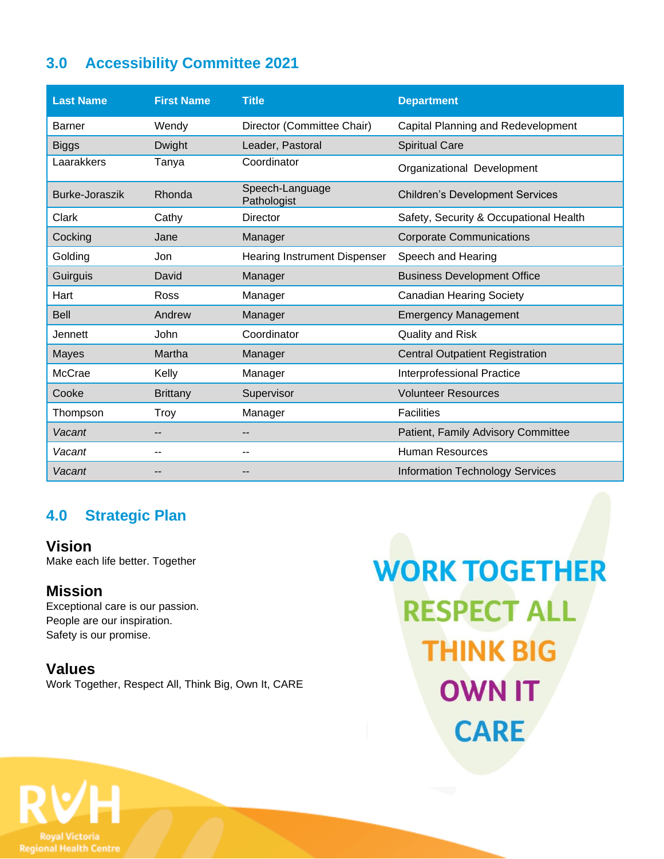## **3.0 Accessibility Committee 2021**

| <b>Last Name</b> | <b>First Name</b> | <b>Title</b>                        | <b>Department</b>                      |
|------------------|-------------------|-------------------------------------|----------------------------------------|
| Barner           | Wendy             | Director (Committee Chair)          | Capital Planning and Redevelopment     |
| <b>Biggs</b>     | Dwight            | Leader, Pastoral                    | <b>Spiritual Care</b>                  |
| Laarakkers       | Tanya             | Coordinator                         | Organizational Development             |
| Burke-Joraszik   | Rhonda            | Speech-Language<br>Pathologist      | <b>Children's Development Services</b> |
| Clark            | Cathy             | <b>Director</b>                     | Safety, Security & Occupational Health |
| Cocking          | Jane              | Manager                             | <b>Corporate Communications</b>        |
| Golding          | Jon               | <b>Hearing Instrument Dispenser</b> | Speech and Hearing                     |
| Guirguis         | David             | Manager                             | <b>Business Development Office</b>     |
| Hart             | Ross              | Manager                             | <b>Canadian Hearing Society</b>        |
| <b>Bell</b>      | Andrew            | Manager                             | <b>Emergency Management</b>            |
| Jennett          | John              | Coordinator                         | <b>Quality and Risk</b>                |
| <b>Mayes</b>     | Martha            | Manager                             | <b>Central Outpatient Registration</b> |
| McCrae           | Kelly             | Manager                             | Interprofessional Practice             |
| Cooke            | <b>Brittany</b>   | Supervisor                          | <b>Volunteer Resources</b>             |
| Thompson         | Troy              | Manager                             | <b>Facilities</b>                      |
| Vacant           | --                |                                     | Patient, Family Advisory Committee     |
| Vacant           | --                |                                     | <b>Human Resources</b>                 |
| Vacant           |                   |                                     | <b>Information Technology Services</b> |

#### **4.0 Strategic Plan**

**Vision** Make each life better. Together

#### **Mission**

Exceptional care is our passion. People are our inspiration. Safety is our promise.

#### **Values**

Work Together, Respect All, Think Big, Own It, CARE

**WORK TOGETHER RESPECT ALL THINK BIG OWN IT CARE** 

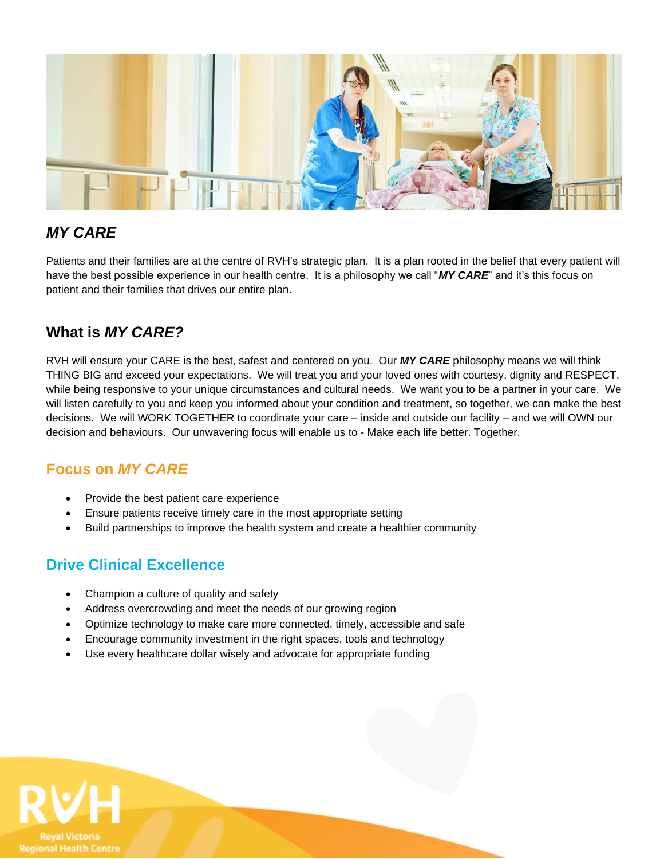

#### *MY CARE*

Patients and their families are at the centre of RVH's strategic plan. It is a plan rooted in the belief that every patient will have the best possible experience in our health centre. It is a philosophy we call "*MY CARE*" and it's this focus on patient and their families that drives our entire plan.

#### **What is** *MY CARE?*

RVH will ensure your CARE is the best, safest and centered on you. Our *MY CARE* philosophy means we will think THING BIG and exceed your expectations. We will treat you and your loved ones with courtesy, dignity and RESPECT, while being responsive to your unique circumstances and cultural needs. We want you to be a partner in your care. We will listen carefully to you and keep you informed about your condition and treatment, so together, we can make the best decisions. We will WORK TOGETHER to coordinate your care – inside and outside our facility – and we will OWN our decision and behaviours. Our unwavering focus will enable us to - Make each life better. Together.

#### **Focus on** *MY CARE*

- Provide the best patient care experience
- Ensure patients receive timely care in the most appropriate setting
- Build partnerships to improve the health system and create a healthier community

#### **Drive Clinical Excellence**

- Champion a culture of quality and safety
- Address overcrowding and meet the needs of our growing region
- Optimize technology to make care more connected, timely, accessible and safe
- Encourage community investment in the right spaces, tools and technology
- Use every healthcare dollar wisely and advocate for appropriate funding

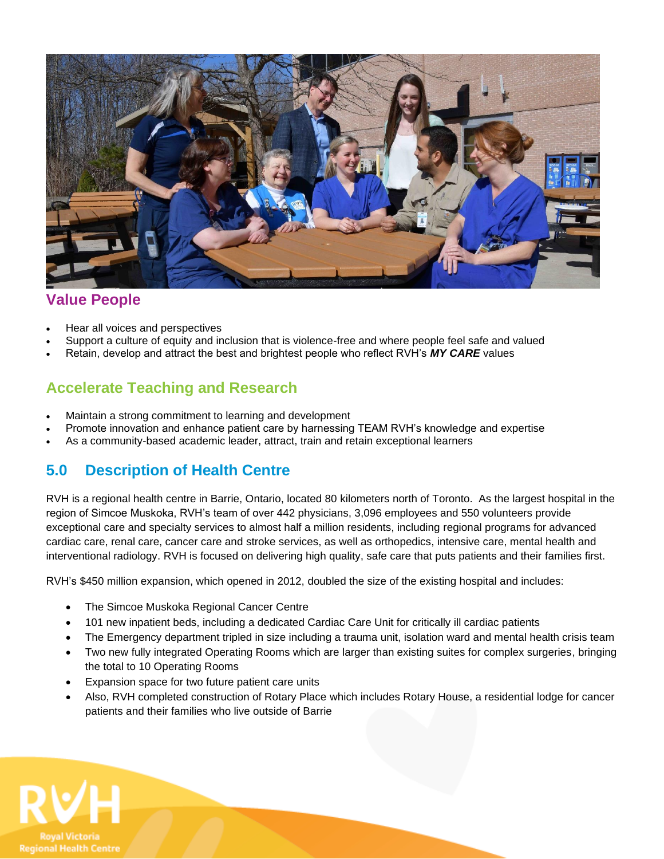

#### **Value People**

- Hear all voices and perspectives
- Support a culture of equity and inclusion that is violence-free and where people feel safe and valued
- Retain, develop and attract the best and brightest people who reflect RVH's *MY CARE* values

#### **Accelerate Teaching and Research**

- Maintain a strong commitment to learning and development
- Promote innovation and enhance patient care by harnessing TEAM RVH's knowledge and expertise
- As a community-based academic leader, attract, train and retain exceptional learners

#### **5.0 Description of Health Centre**

RVH is a regional health centre in Barrie, Ontario, located 80 kilometers north of Toronto. As the largest hospital in the region of Simcoe Muskoka, RVH's team of over 442 physicians, 3,096 employees and 550 volunteers provide exceptional care and specialty services to almost half a million residents, including regional programs for advanced cardiac care, renal care, cancer care and stroke services, as well as orthopedics, intensive care, mental health and interventional radiology. RVH is focused on delivering high quality, safe care that puts patients and their families first.

RVH's \$450 million expansion, which opened in 2012, doubled the size of the existing hospital and includes:

- The Simcoe Muskoka Regional Cancer Centre
- 101 new inpatient beds, including a dedicated Cardiac Care Unit for critically ill cardiac patients
- The Emergency department tripled in size including a trauma unit, isolation ward and mental health crisis team
- Two new fully integrated Operating Rooms which are larger than existing suites for complex surgeries, bringing the total to 10 Operating Rooms
- Expansion space for two future patient care units
- Also, RVH completed construction of Rotary Place which includes Rotary House, a residential lodge for cancer patients and their families who live outside of Barrie

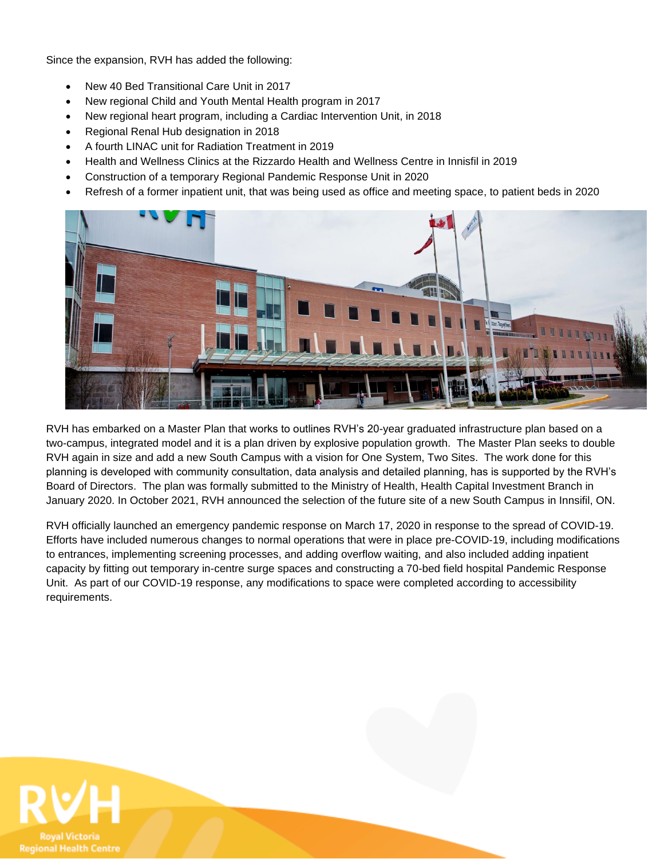Since the expansion, RVH has added the following:

- New 40 Bed Transitional Care Unit in 2017
- New regional Child and Youth Mental Health program in 2017
- New regional heart program, including a Cardiac Intervention Unit, in 2018
- Regional Renal Hub designation in 2018
- A fourth LINAC unit for Radiation Treatment in 2019
- Health and Wellness Clinics at the Rizzardo Health and Wellness Centre in Innisfil in 2019
- Construction of a temporary Regional Pandemic Response Unit in 2020
- Refresh of a former inpatient unit, that was being used as office and meeting space, to patient beds in 2020



RVH has embarked on a Master Plan that works to outlines RVH's 20-year graduated infrastructure plan based on a two-campus, integrated model and it is a plan driven by explosive population growth. The Master Plan seeks to double RVH again in size and add a new South Campus with a vision for One System, Two Sites. The work done for this planning is developed with community consultation, data analysis and detailed planning, has is supported by the RVH's Board of Directors. The plan was formally submitted to the Ministry of Health, Health Capital Investment Branch in January 2020. In October 2021, RVH announced the selection of the future site of a new South Campus in Innsifil, ON.

RVH officially launched an emergency pandemic response on March 17, 2020 in response to the spread of COVID-19. Efforts have included numerous changes to normal operations that were in place pre-COVID-19, including modifications to entrances, implementing screening processes, and adding overflow waiting, and also included adding inpatient capacity by fitting out temporary in-centre surge spaces and constructing a 70-bed field hospital Pandemic Response Unit. As part of our COVID-19 response, any modifications to space were completed according to accessibility requirements.

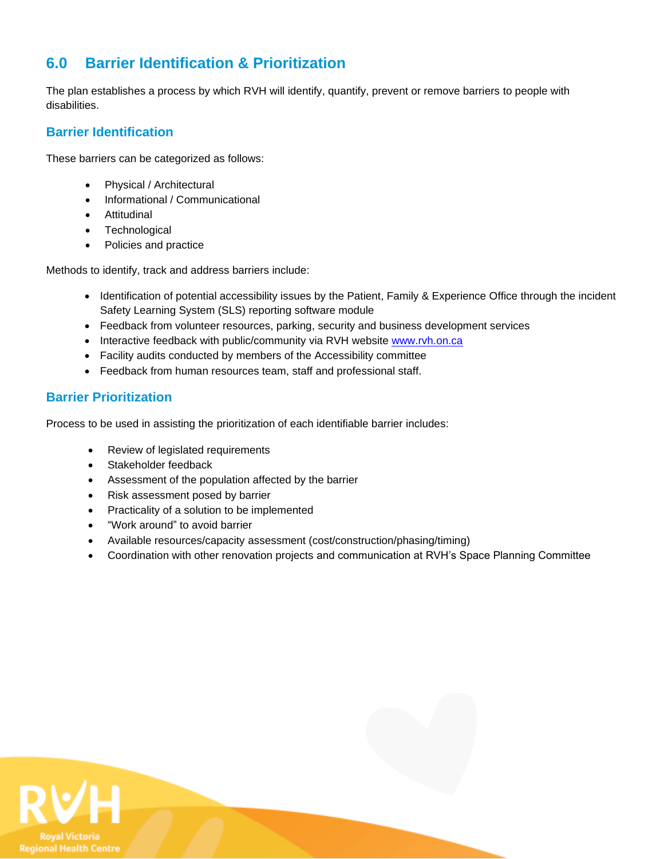#### **6.0 Barrier Identification & Prioritization**

The plan establishes a process by which RVH will identify, quantify, prevent or remove barriers to people with disabilities.

#### **Barrier Identification**

These barriers can be categorized as follows:

- Physical / Architectural
- Informational / Communicational
- Attitudinal
- Technological
- Policies and practice

Methods to identify, track and address barriers include:

- Identification of potential accessibility issues by the Patient, Family & Experience Office through the incident Safety Learning System (SLS) reporting software module
- Feedback from volunteer resources, parking, security and business development services
- Interactive feedback with public/community via RVH website [www.rvh.on.ca](http://www.rvh.on.ca/)
- Facility audits conducted by members of the Accessibility committee
- Feedback from human resources team, staff and professional staff.

#### **Barrier Prioritization**

Process to be used in assisting the prioritization of each identifiable barrier includes:

- Review of legislated requirements
- Stakeholder feedback
- Assessment of the population affected by the barrier
- Risk assessment posed by barrier
- Practicality of a solution to be implemented
- "Work around" to avoid barrier
- Available resources/capacity assessment (cost/construction/phasing/timing)
- Coordination with other renovation projects and communication at RVH's Space Planning Committee

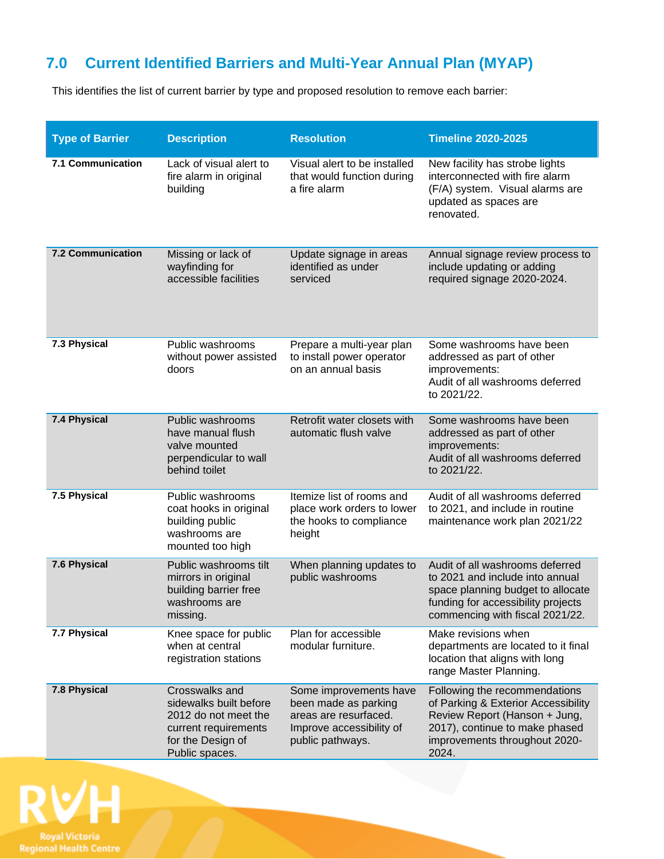# **7.0 Current Identified Barriers and Multi-Year Annual Plan (MYAP)**

This identifies the list of current barrier by type and proposed resolution to remove each barrier:

| <b>Type of Barrier</b>   | <b>Description</b>                                                                                                              | <b>Resolution</b>                                                                                                       | <b>Timeline 2020-2025</b>                                                                                                                                                         |
|--------------------------|---------------------------------------------------------------------------------------------------------------------------------|-------------------------------------------------------------------------------------------------------------------------|-----------------------------------------------------------------------------------------------------------------------------------------------------------------------------------|
| <b>7.1 Communication</b> | Lack of visual alert to<br>fire alarm in original<br>building                                                                   | Visual alert to be installed<br>that would function during<br>a fire alarm                                              | New facility has strobe lights<br>interconnected with fire alarm<br>(F/A) system. Visual alarms are<br>updated as spaces are<br>renovated.                                        |
| <b>7.2 Communication</b> | Missing or lack of<br>wayfinding for<br>accessible facilities                                                                   | Update signage in areas<br>identified as under<br>serviced                                                              | Annual signage review process to<br>include updating or adding<br>required signage 2020-2024.                                                                                     |
| 7.3 Physical             | Public washrooms<br>without power assisted<br>doors                                                                             | Prepare a multi-year plan<br>to install power operator<br>on an annual basis                                            | Some washrooms have been<br>addressed as part of other<br>improvements:<br>Audit of all washrooms deferred<br>to 2021/22.                                                         |
| 7.4 Physical             | Public washrooms<br>have manual flush<br>valve mounted<br>perpendicular to wall<br>behind toilet                                | Retrofit water closets with<br>automatic flush valve                                                                    | Some washrooms have been<br>addressed as part of other<br>improvements:<br>Audit of all washrooms deferred<br>to 2021/22.                                                         |
| 7.5 Physical             | Public washrooms<br>coat hooks in original<br>building public<br>washrooms are<br>mounted too high                              | Itemize list of rooms and<br>place work orders to lower<br>the hooks to compliance<br>height                            | Audit of all washrooms deferred<br>to 2021, and include in routine<br>maintenance work plan 2021/22                                                                               |
| 7.6 Physical             | Public washrooms tilt<br>mirrors in original<br>building barrier free<br>washrooms are<br>missing.                              | When planning updates to<br>public washrooms                                                                            | Audit of all washrooms deferred<br>to 2021 and include into annual<br>space planning budget to allocate<br>funding for accessibility projects<br>commencing with fiscal 2021/22.  |
| 7.7 Physical             | Knee space for public<br>when at central<br>registration stations                                                               | Plan for accessible<br>modular furniture.                                                                               | Make revisions when<br>departments are located to it final<br>location that aligns with long<br>range Master Planning.                                                            |
| 7.8 Physical             | Crosswalks and<br>sidewalks built before<br>2012 do not meet the<br>current requirements<br>for the Design of<br>Public spaces. | Some improvements have<br>been made as parking<br>areas are resurfaced.<br>Improve accessibility of<br>public pathways. | Following the recommendations<br>of Parking & Exterior Accessibility<br>Review Report (Hanson + Jung,<br>2017), continue to make phased<br>improvements throughout 2020-<br>2024. |

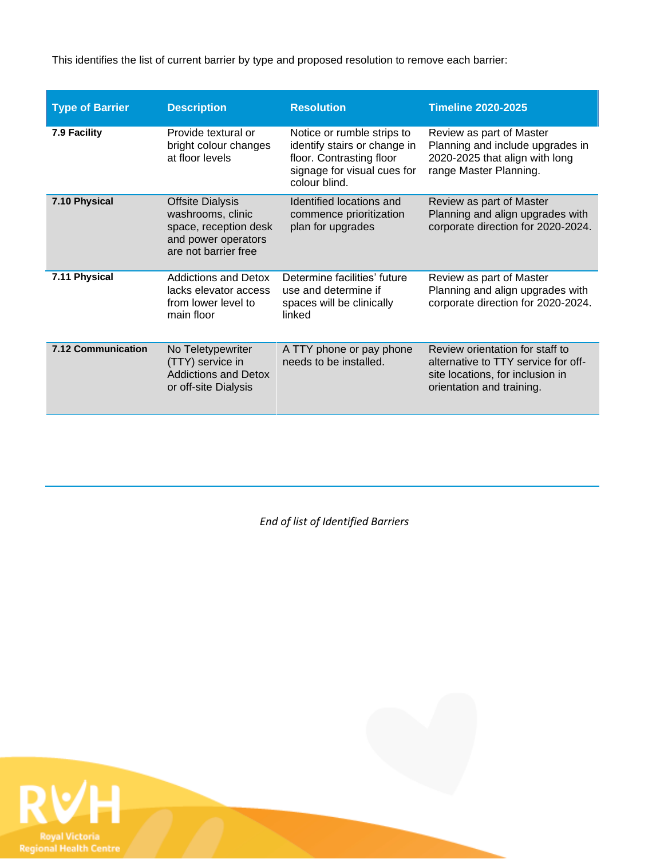This identifies the list of current barrier by type and proposed resolution to remove each barrier:

| <b>Type of Barrier</b>    | <b>Description</b>                                                                                                   | <b>Resolution</b>                                                                                                                      | <b>Timeline 2020-2025</b>                                                                                                               |
|---------------------------|----------------------------------------------------------------------------------------------------------------------|----------------------------------------------------------------------------------------------------------------------------------------|-----------------------------------------------------------------------------------------------------------------------------------------|
| 7.9 Facility              | Provide textural or<br>bright colour changes<br>at floor levels                                                      | Notice or rumble strips to<br>identify stairs or change in<br>floor. Contrasting floor<br>signage for visual cues for<br>colour blind. | Review as part of Master<br>Planning and include upgrades in<br>2020-2025 that align with long<br>range Master Planning.                |
| 7.10 Physical             | <b>Offsite Dialysis</b><br>washrooms, clinic<br>space, reception desk<br>and power operators<br>are not barrier free | Identified locations and<br>commence prioritization<br>plan for upgrades                                                               | Review as part of Master<br>Planning and align upgrades with<br>corporate direction for 2020-2024.                                      |
| 7.11 Physical             | <b>Addictions and Detox</b><br>lacks elevator access<br>from lower level to<br>main floor                            | Determine facilities' future<br>use and determine if<br>spaces will be clinically<br>linked                                            | Review as part of Master<br>Planning and align upgrades with<br>corporate direction for 2020-2024.                                      |
| <b>7.12 Communication</b> | No Teletypewriter<br>(TTY) service in<br><b>Addictions and Detox</b><br>or off-site Dialysis                         | A TTY phone or pay phone<br>needs to be installed.                                                                                     | Review orientation for staff to<br>alternative to TTY service for off-<br>site locations, for inclusion in<br>orientation and training. |

*End of list of Identified Barriers*

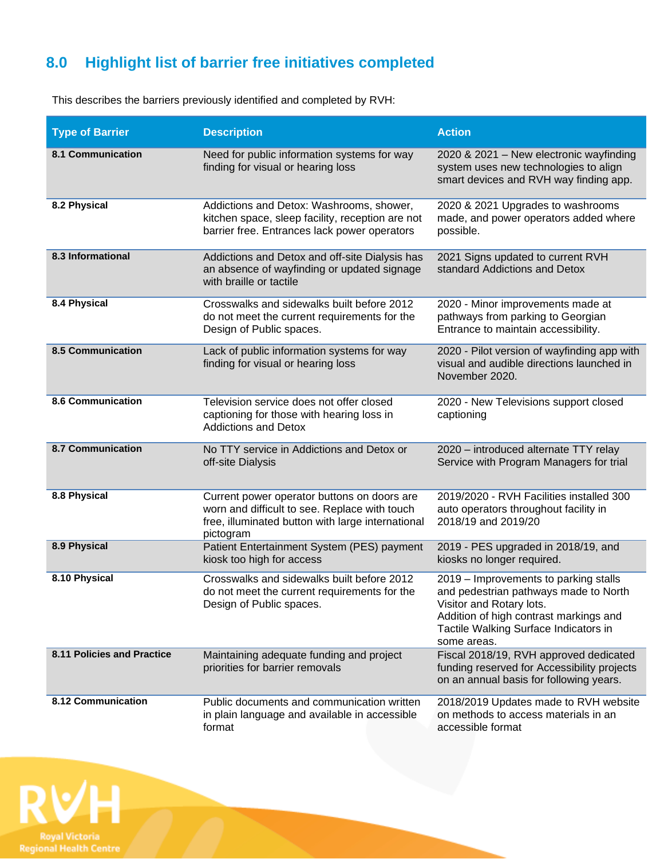# **8.0 Highlight list of barrier free initiatives completed**

This describes the barriers previously identified and completed by RVH:

| <b>Type of Barrier</b>     | <b>Description</b>                                                                                                                                             | <b>Action</b>                                                                                                                                                                                                |
|----------------------------|----------------------------------------------------------------------------------------------------------------------------------------------------------------|--------------------------------------------------------------------------------------------------------------------------------------------------------------------------------------------------------------|
| <b>8.1 Communication</b>   | Need for public information systems for way<br>finding for visual or hearing loss                                                                              | 2020 & 2021 - New electronic wayfinding<br>system uses new technologies to align<br>smart devices and RVH way finding app.                                                                                   |
| 8.2 Physical               | Addictions and Detox: Washrooms, shower,<br>kitchen space, sleep facility, reception are not<br>barrier free. Entrances lack power operators                   | 2020 & 2021 Upgrades to washrooms<br>made, and power operators added where<br>possible.                                                                                                                      |
| 8.3 Informational          | Addictions and Detox and off-site Dialysis has<br>an absence of wayfinding or updated signage<br>with braille or tactile                                       | 2021 Signs updated to current RVH<br>standard Addictions and Detox                                                                                                                                           |
| 8.4 Physical               | Crosswalks and sidewalks built before 2012<br>do not meet the current requirements for the<br>Design of Public spaces.                                         | 2020 - Minor improvements made at<br>pathways from parking to Georgian<br>Entrance to maintain accessibility.                                                                                                |
| <b>8.5 Communication</b>   | Lack of public information systems for way<br>finding for visual or hearing loss                                                                               | 2020 - Pilot version of wayfinding app with<br>visual and audible directions launched in<br>November 2020.                                                                                                   |
| <b>8.6 Communication</b>   | Television service does not offer closed<br>captioning for those with hearing loss in<br><b>Addictions and Detox</b>                                           | 2020 - New Televisions support closed<br>captioning                                                                                                                                                          |
| <b>8.7 Communication</b>   | No TTY service in Addictions and Detox or<br>off-site Dialysis                                                                                                 | 2020 - introduced alternate TTY relay<br>Service with Program Managers for trial                                                                                                                             |
| 8.8 Physical               | Current power operator buttons on doors are<br>worn and difficult to see. Replace with touch<br>free, illuminated button with large international<br>pictogram | 2019/2020 - RVH Facilities installed 300<br>auto operators throughout facility in<br>2018/19 and 2019/20                                                                                                     |
| 8.9 Physical               | Patient Entertainment System (PES) payment<br>kiosk too high for access                                                                                        | 2019 - PES upgraded in 2018/19, and<br>kiosks no longer required.                                                                                                                                            |
| 8.10 Physical              | Crosswalks and sidewalks built before 2012<br>do not meet the current requirements for the<br>Design of Public spaces.                                         | 2019 – Improvements to parking stalls<br>and pedestrian pathways made to North<br>Visitor and Rotary lots.<br>Addition of high contrast markings and<br>Tactile Walking Surface Indicators in<br>some areas. |
| 8.11 Policies and Practice | Maintaining adequate funding and project<br>priorities for barrier removals                                                                                    | Fiscal 2018/19, RVH approved dedicated<br>funding reserved for Accessibility projects<br>on an annual basis for following years.                                                                             |
| 8.12 Communication         | Public documents and communication written<br>in plain language and available in accessible<br>format                                                          | 2018/2019 Updates made to RVH website<br>on methods to access materials in an<br>accessible format                                                                                                           |
|                            |                                                                                                                                                                |                                                                                                                                                                                                              |

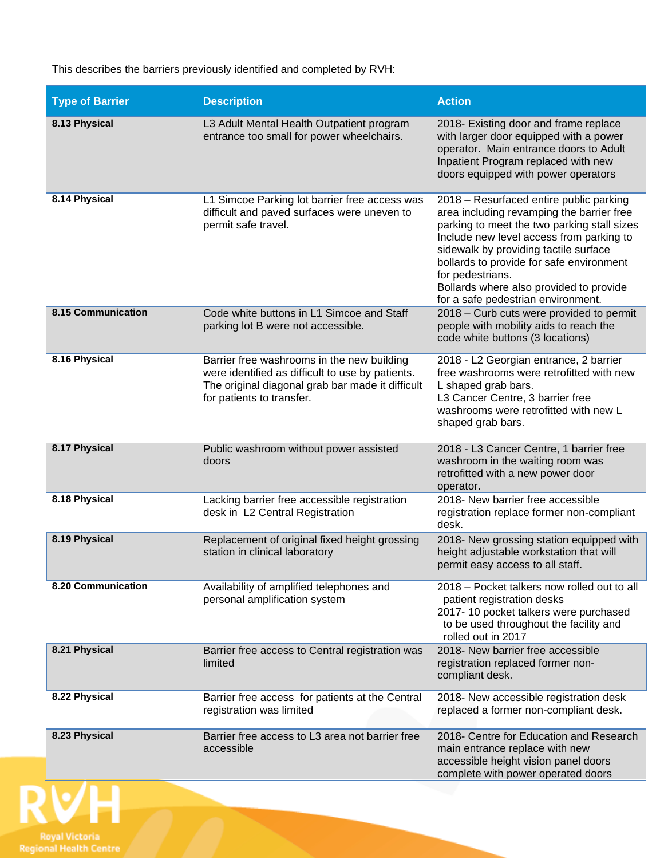This describes the barriers previously identified and completed by RVH:

| <b>Type of Barrier</b>    | <b>Description</b>                                                                                                                                                              | <b>Action</b>                                                                                                                                                                                                                                                                                                                                                             |
|---------------------------|---------------------------------------------------------------------------------------------------------------------------------------------------------------------------------|---------------------------------------------------------------------------------------------------------------------------------------------------------------------------------------------------------------------------------------------------------------------------------------------------------------------------------------------------------------------------|
| 8.13 Physical             | L3 Adult Mental Health Outpatient program<br>entrance too small for power wheelchairs.                                                                                          | 2018- Existing door and frame replace<br>with larger door equipped with a power<br>operator. Main entrance doors to Adult<br>Inpatient Program replaced with new<br>doors equipped with power operators                                                                                                                                                                   |
| 8.14 Physical             | L1 Simcoe Parking lot barrier free access was<br>difficult and paved surfaces were uneven to<br>permit safe travel.                                                             | 2018 - Resurfaced entire public parking<br>area including revamping the barrier free<br>parking to meet the two parking stall sizes<br>Include new level access from parking to<br>sidewalk by providing tactile surface<br>bollards to provide for safe environment<br>for pedestrians.<br>Bollards where also provided to provide<br>for a safe pedestrian environment. |
| <b>8.15 Communication</b> | Code white buttons in L1 Simcoe and Staff<br>parking lot B were not accessible.                                                                                                 | 2018 - Curb cuts were provided to permit<br>people with mobility aids to reach the<br>code white buttons (3 locations)                                                                                                                                                                                                                                                    |
| 8.16 Physical             | Barrier free washrooms in the new building<br>were identified as difficult to use by patients.<br>The original diagonal grab bar made it difficult<br>for patients to transfer. | 2018 - L2 Georgian entrance, 2 barrier<br>free washrooms were retrofitted with new<br>L shaped grab bars.<br>L3 Cancer Centre, 3 barrier free<br>washrooms were retrofitted with new L<br>shaped grab bars.                                                                                                                                                               |
| 8.17 Physical             | Public washroom without power assisted<br>doors                                                                                                                                 | 2018 - L3 Cancer Centre, 1 barrier free<br>washroom in the waiting room was<br>retrofitted with a new power door<br>operator.                                                                                                                                                                                                                                             |
| 8.18 Physical             | Lacking barrier free accessible registration<br>desk in L2 Central Registration                                                                                                 | 2018- New barrier free accessible<br>registration replace former non-compliant<br>desk.                                                                                                                                                                                                                                                                                   |
| 8.19 Physical             | Replacement of original fixed height grossing<br>station in clinical laboratory                                                                                                 | 2018- New grossing station equipped with<br>height adjustable workstation that will<br>permit easy access to all staff.                                                                                                                                                                                                                                                   |
| 8.20 Communication        | Availability of amplified telephones and<br>personal amplification system                                                                                                       | 2018 – Pocket talkers now rolled out to all<br>patient registration desks<br>2017-10 pocket talkers were purchased<br>to be used throughout the facility and<br>rolled out in 2017                                                                                                                                                                                        |
| 8.21 Physical             | Barrier free access to Central registration was<br>limited                                                                                                                      | 2018- New barrier free accessible<br>registration replaced former non-<br>compliant desk.                                                                                                                                                                                                                                                                                 |
| 8.22 Physical             | Barrier free access for patients at the Central<br>registration was limited                                                                                                     | 2018- New accessible registration desk<br>replaced a former non-compliant desk.                                                                                                                                                                                                                                                                                           |
| 8.23 Physical             | Barrier free access to L3 area not barrier free<br>accessible                                                                                                                   | 2018- Centre for Education and Research<br>main entrance replace with new<br>accessible height vision panel doors<br>complete with power operated doors                                                                                                                                                                                                                   |

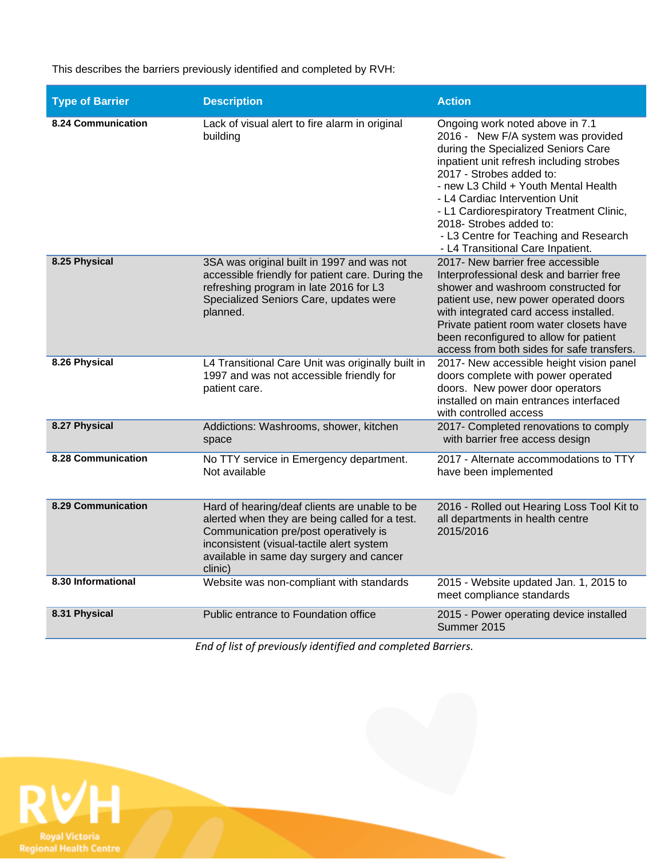This describes the barriers previously identified and completed by RVH:

| <b>Type of Barrier</b>    | <b>Description</b>                                                                                                                                                                                                                           | <b>Action</b>                                                                                                                                                                                                                                                                                                                                                                                                       |
|---------------------------|----------------------------------------------------------------------------------------------------------------------------------------------------------------------------------------------------------------------------------------------|---------------------------------------------------------------------------------------------------------------------------------------------------------------------------------------------------------------------------------------------------------------------------------------------------------------------------------------------------------------------------------------------------------------------|
| 8.24 Communication        | Lack of visual alert to fire alarm in original<br>building                                                                                                                                                                                   | Ongoing work noted above in 7.1<br>2016 - New F/A system was provided<br>during the Specialized Seniors Care<br>inpatient unit refresh including strobes<br>2017 - Strobes added to:<br>- new L3 Child + Youth Mental Health<br>- L4 Cardiac Intervention Unit<br>- L1 Cardiorespiratory Treatment Clinic,<br>2018- Strobes added to:<br>- L3 Centre for Teaching and Research<br>- L4 Transitional Care Inpatient. |
| 8.25 Physical             | 3SA was original built in 1997 and was not<br>accessible friendly for patient care. During the<br>refreshing program in late 2016 for L3<br>Specialized Seniors Care, updates were<br>planned.                                               | 2017- New barrier free accessible<br>Interprofessional desk and barrier free<br>shower and washroom constructed for<br>patient use, new power operated doors<br>with integrated card access installed.<br>Private patient room water closets have<br>been reconfigured to allow for patient<br>access from both sides for safe transfers.                                                                           |
| 8.26 Physical             | L4 Transitional Care Unit was originally built in<br>1997 and was not accessible friendly for<br>patient care.                                                                                                                               | 2017- New accessible height vision panel<br>doors complete with power operated<br>doors. New power door operators<br>installed on main entrances interfaced<br>with controlled access                                                                                                                                                                                                                               |
| 8.27 Physical             | Addictions: Washrooms, shower, kitchen<br>space                                                                                                                                                                                              | 2017- Completed renovations to comply<br>with barrier free access design                                                                                                                                                                                                                                                                                                                                            |
| <b>8.28 Communication</b> | No TTY service in Emergency department.<br>Not available                                                                                                                                                                                     | 2017 - Alternate accommodations to TTY<br>have been implemented                                                                                                                                                                                                                                                                                                                                                     |
| <b>8.29 Communication</b> | Hard of hearing/deaf clients are unable to be<br>alerted when they are being called for a test.<br>Communication pre/post operatively is<br>inconsistent (visual-tactile alert system<br>available in same day surgery and cancer<br>clinic) | 2016 - Rolled out Hearing Loss Tool Kit to<br>all departments in health centre<br>2015/2016                                                                                                                                                                                                                                                                                                                         |
| 8.30 Informational        | Website was non-compliant with standards                                                                                                                                                                                                     | 2015 - Website updated Jan. 1, 2015 to<br>meet compliance standards                                                                                                                                                                                                                                                                                                                                                 |
| 8.31 Physical             | Public entrance to Foundation office                                                                                                                                                                                                         | 2015 - Power operating device installed<br>Summer 2015                                                                                                                                                                                                                                                                                                                                                              |

*End of list of previously identified and completed Barriers.*

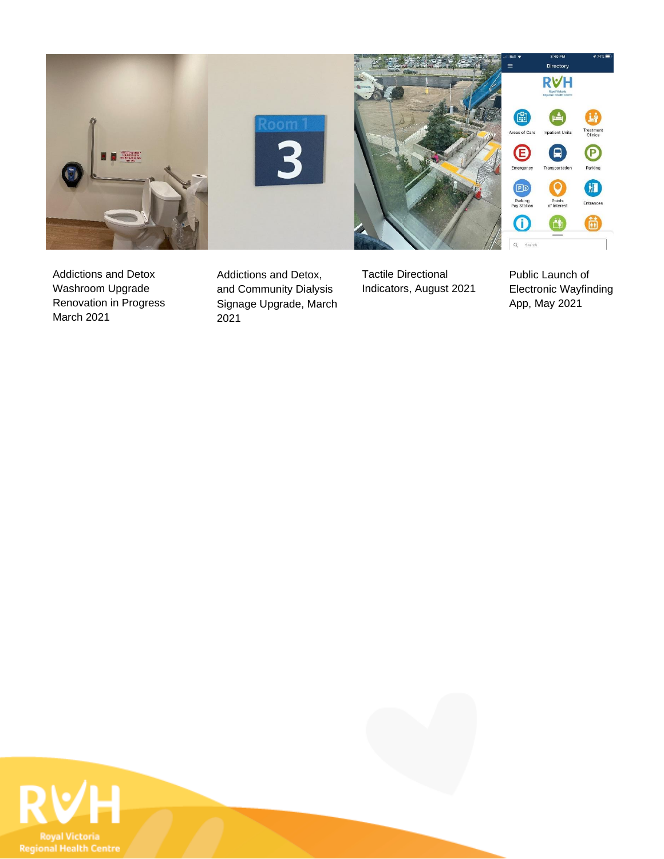

Addictions and Detox Washroom Upgrade Renovation in Progress March 2021

Addictions and Detox, and Community Dialysis Signage Upgrade, March 2021

Tactile Directional Indicators, August 2021 Public Launch of Electronic Wayfinding App, May 2021

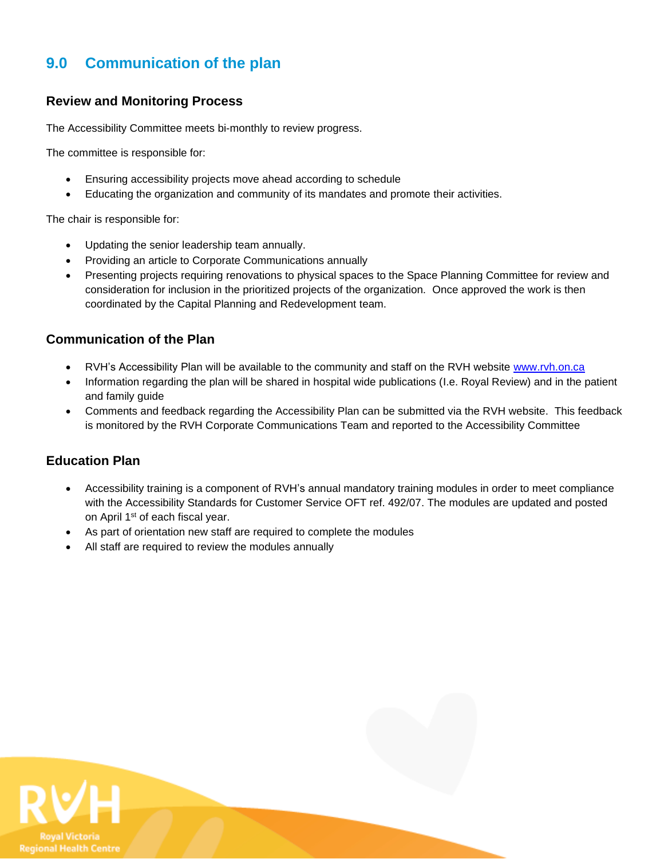### **9.0 Communication of the plan**

#### **Review and Monitoring Process**

The Accessibility Committee meets bi-monthly to review progress.

The committee is responsible for:

- Ensuring accessibility projects move ahead according to schedule
- Educating the organization and community of its mandates and promote their activities.

The chair is responsible for:

- Updating the senior leadership team annually.
- Providing an article to Corporate Communications annually
- Presenting projects requiring renovations to physical spaces to the Space Planning Committee for review and consideration for inclusion in the prioritized projects of the organization. Once approved the work is then coordinated by the Capital Planning and Redevelopment team.

#### **Communication of the Plan**

- RVH's Accessibility Plan will be available to the community and staff on the RVH website [www.rvh.on.ca](http://www.rvh.on.ca/)
- Information regarding the plan will be shared in hospital wide publications (I.e. Royal Review) and in the patient and family guide
- Comments and feedback regarding the Accessibility Plan can be submitted via the RVH website. This feedback is monitored by the RVH Corporate Communications Team and reported to the Accessibility Committee

#### **Education Plan**

- Accessibility training is a component of RVH's annual mandatory training modules in order to meet compliance with the Accessibility Standards for Customer Service OFT ref. 492/07. The modules are updated and posted on April 1<sup>st</sup> of each fiscal year.
- As part of orientation new staff are required to complete the modules
- All staff are required to review the modules annually